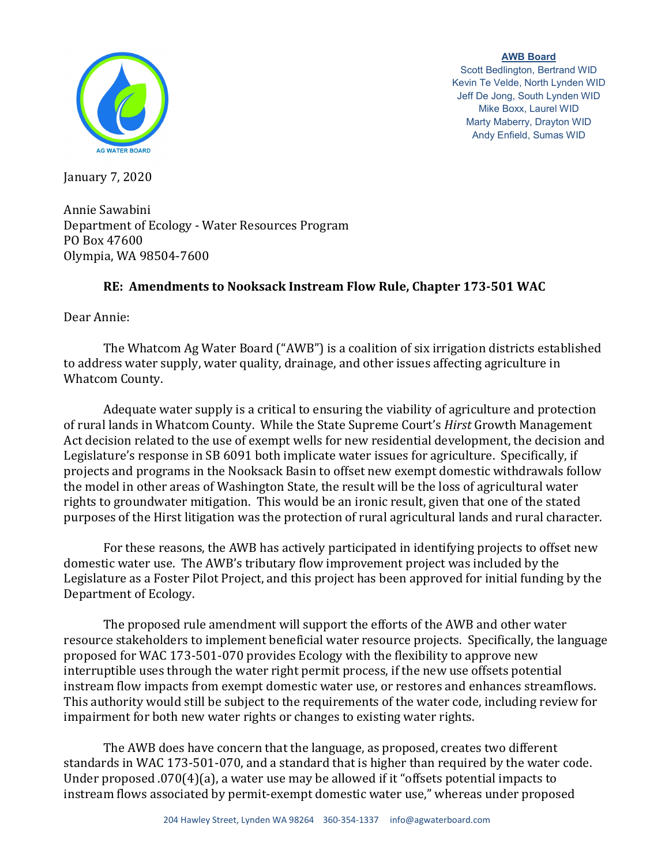

**AWB Board** Scott Bedlington, Bertrand WID Kevin Te Velde, North Lynden WID Jeff De Jong, South Lynden WID Mike Boxx, Laurel WID Marty Maberry, Drayton WID Andy Enfield, Sumas WID

January 7, 2020

Annie Sawabini Department of Ecology - Water Resources Program PO Box 47600 Olympia, WA 98504-7600

## **RE: Amendments to Nooksack Instream Flow Rule, Chapter 173-501 WAC**

Dear Annie:

The Whatcom Ag Water Board ("AWB") is a coalition of six irrigation districts established to address water supply, water quality, drainage, and other issues affecting agriculture in Whatcom County.

Adequate water supply is a critical to ensuring the viability of agriculture and protection of rural lands in Whatcom County. While the State Supreme Court's *Hirst* Growth Management Act decision related to the use of exempt wells for new residential development, the decision and Legislature's response in SB 6091 both implicate water issues for agriculture. Specifically, if projects and programs in the Nooksack Basin to offset new exempt domestic withdrawals follow the model in other areas of Washington State, the result will be the loss of agricultural water rights to groundwater mitigation. This would be an ironic result, given that one of the stated purposes of the Hirst litigation was the protection of rural agricultural lands and rural character.

For these reasons, the AWB has actively participated in identifying projects to offset new domestic water use. The AWB's tributary flow improvement project was included by the Legislature as a Foster Pilot Project, and this project has been approved for initial funding by the Department of Ecology.

The proposed rule amendment will support the efforts of the AWB and other water resource stakeholders to implement beneficial water resource projects. Specifically, the language proposed for WAC 173-501-070 provides Ecology with the flexibility to approve new interruptible uses through the water right permit process, if the new use offsets potential instream flow impacts from exempt domestic water use, or restores and enhances streamflows. This authority would still be subject to the requirements of the water code, including review for impairment for both new water rights or changes to existing water rights.

The AWB does have concern that the language, as proposed, creates two different standards in WAC 173-501-070, and a standard that is higher than required by the water code. Under proposed .070(4)(a), a water use may be allowed if it "offsets potential impacts to instream flows associated by permit-exempt domestic water use," whereas under proposed